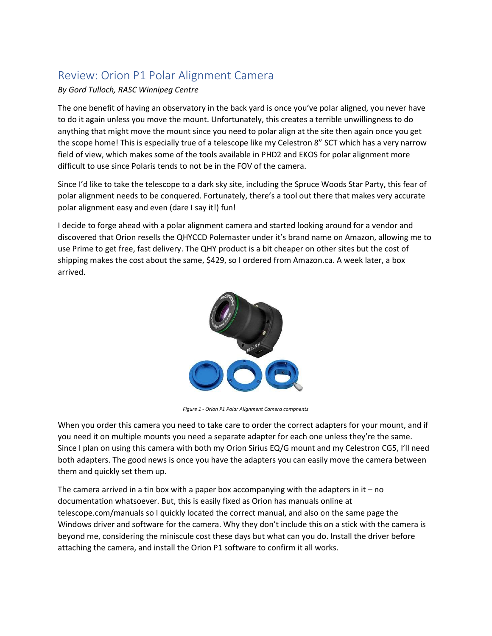## Review: Orion P1 Polar Alignment Camera

## By Gord Tulloch, RASC Winnipeg Centre

The one benefit of having an observatory in the back yard is once you've polar aligned, you never have to do it again unless you move the mount. Unfortunately, this creates a terrible unwillingness to do anything that might move the mount since you need to polar align at the site then again once you get the scope home! This is especially true of a telescope like my Celestron 8" SCT which has a very narrow field of view, which makes some of the tools available in PHD2 and EKOS for polar alignment more difficult to use since Polaris tends to not be in the FOV of the camera.

Since I'd like to take the telescope to a dark sky site, including the Spruce Woods Star Party, this fear of polar alignment needs to be conquered. Fortunately, there's a tool out there that makes very accurate polar alignment easy and even (dare I say it!) fun!

I decide to forge ahead with a polar alignment camera and started looking around for a vendor and discovered that Orion resells the QHYCCD Polemaster under it's brand name on Amazon, allowing me to use Prime to get free, fast delivery. The QHY product is a bit cheaper on other sites but the cost of shipping makes the cost about the same, \$429, so I ordered from Amazon.ca. A week later, a box arrived.



Figure 1 - Orion P1 Polar Alignment Camera compnents

When you order this camera you need to take care to order the correct adapters for your mount, and if you need it on multiple mounts you need a separate adapter for each one unless they're the same. Since I plan on using this camera with both my Orion Sirius EQ/G mount and my Celestron CG5, I'll need both adapters. The good news is once you have the adapters you can easily move the camera between them and quickly set them up.

The camera arrived in a tin box with a paper box accompanying with the adapters in it  $-$  no documentation whatsoever. But, this is easily fixed as Orion has manuals online at telescope.com/manuals so I quickly located the correct manual, and also on the same page the Windows driver and software for the camera. Why they don't include this on a stick with the camera is beyond me, considering the miniscule cost these days but what can you do. Install the driver before attaching the camera, and install the Orion P1 software to confirm it all works.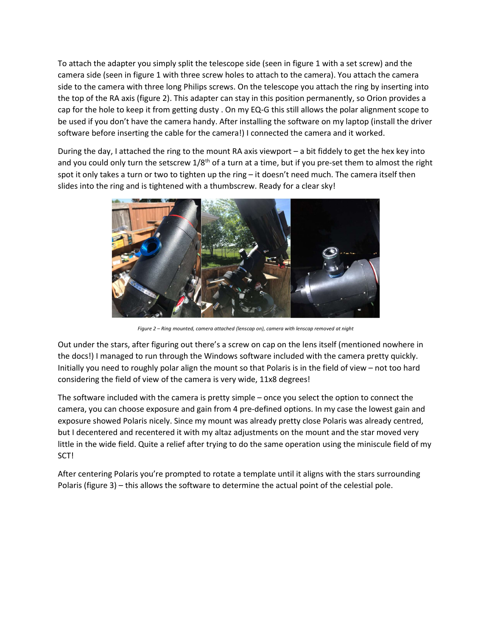To attach the adapter you simply split the telescope side (seen in figure 1 with a set screw) and the camera side (seen in figure 1 with three screw holes to attach to the camera). You attach the camera side to the camera with three long Philips screws. On the telescope you attach the ring by inserting into the top of the RA axis (figure 2). This adapter can stay in this position permanently, so Orion provides a cap for the hole to keep it from getting dusty . On my EQ-G this still allows the polar alignment scope to be used if you don't have the camera handy. After installing the software on my laptop (install the driver software before inserting the cable for the camera!) I connected the camera and it worked.

During the day, I attached the ring to the mount RA axis viewport – a bit fiddely to get the hex key into and you could only turn the setscrew  $1/8$ <sup>th</sup> of a turn at a time, but if you pre-set them to almost the right spot it only takes a turn or two to tighten up the ring – it doesn't need much. The camera itself then slides into the ring and is tightened with a thumbscrew. Ready for a clear sky!



Figure 2 – Ring mounted, camera attached (lenscap on), camera with lenscap removed at night

Out under the stars, after figuring out there's a screw on cap on the lens itself (mentioned nowhere in the docs!) I managed to run through the Windows software included with the camera pretty quickly. Initially you need to roughly polar align the mount so that Polaris is in the field of view – not too hard considering the field of view of the camera is very wide, 11x8 degrees!

The software included with the camera is pretty simple – once you select the option to connect the camera, you can choose exposure and gain from 4 pre-defined options. In my case the lowest gain and exposure showed Polaris nicely. Since my mount was already pretty close Polaris was already centred, but I decentered and recentered it with my altaz adjustments on the mount and the star moved very little in the wide field. Quite a relief after trying to do the same operation using the miniscule field of my SCT!

After centering Polaris you're prompted to rotate a template until it aligns with the stars surrounding Polaris (figure 3) – this allows the software to determine the actual point of the celestial pole.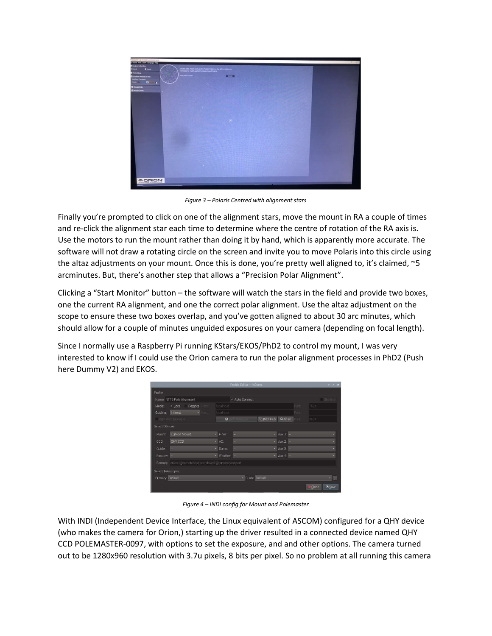

Figure 3 – Polaris Centred with alignment stars

Finally you're prompted to click on one of the alignment stars, move the mount in RA a couple of times and re-click the alignment star each time to determine where the centre of rotation of the RA axis is. Use the motors to run the mount rather than doing it by hand, which is apparently more accurate. The software will not draw a rotating circle on the screen and invite you to move Polaris into this circle using the altaz adjustments on your mount. Once this is done, you're pretty well aligned to, it's claimed, ~5 arcminutes. But, there's another step that allows a "Precision Polar Alignment".

Clicking a "Start Monitor" button – the software will watch the stars in the field and provide two boxes, one the current RA alignment, and one the correct polar alignment. Use the altaz adjustment on the scope to ensure these two boxes overlap, and you've gotten aligned to about 30 arc minutes, which should allow for a couple of minutes unguided exposures on your camera (depending on focal length).

Since I normally use a Raspberry Pi running KStars/EKOS/PhD2 to control my mount, I was very interested to know if I could use the Orion camera to run the polar alignment processes in PhD2 (Push here Dummy V2) and EKOS.

|                                                         |                            |               | Profile Editor - KStars |                                |                    |             |                | $x - x - x$      |
|---------------------------------------------------------|----------------------------|---------------|-------------------------|--------------------------------|--------------------|-------------|----------------|------------------|
| Profile                                                 |                            |               |                         |                                |                    |             |                |                  |
| Name: NTT8 Pole Alignment                               |                            |               | v Auto Connect          |                                |                    |             |                | <b>Site</b> Info |
| Mode:                                                   | · Local<br>Remote<br>Host: | localhost     |                         |                                |                    | Port        | 7624           |                  |
| Guiding                                                 | Internal<br>- Hosti        | localhost.    |                         |                                |                    | <b>Both</b> |                |                  |
|                                                         | MDI Web Manager            | $\Theta$      |                         | <b>CLINDI Hub</b> Q. Scan Port |                    |             | 8624           |                  |
| Select Devices                                          |                            |               |                         |                                |                    |             |                |                  |
| Mount:                                                  | <b>EQMod Mount</b>         | - Filter:     |                         |                                | $\star$ Aux 1: $-$ |             |                | ۰                |
| CCD:                                                    | <b>QHY CCD</b>             | AO:<br>÷,     |                         |                                | $-$ Aux 2:         |             |                | ۰                |
| Guider:                                                 | les.                       | Dome:         |                         |                                | $-$ Aux 3:         |             |                | ۰                |
| Focuser.                                                |                            | Weather:<br>٠ |                         |                                | $-$ Aux 4:         |             |                | v                |
| Remote: driver1@remotehost.port.driver2@remotehost.port |                            |               |                         |                                |                    |             |                |                  |
| Select Telescopes                                       |                            |               |                         |                                |                    |             |                |                  |
| Primary: Default                                        |                            |               | · Guide: Default        |                                |                    |             |                | - 9              |
|                                                         |                            |               |                         |                                |                    |             | <b>O</b> Close | <b>ED</b> Save   |

Figure 4 – INDI config for Mount and Polemaster

With INDI (Independent Device Interface, the Linux equivalent of ASCOM) configured for a QHY device (who makes the camera for Orion,) starting up the driver resulted in a connected device named QHY CCD POLEMASTER-0097, with options to set the exposure, and and other options. The camera turned out to be 1280x960 resolution with 3.7u pixels, 8 bits per pixel. So no problem at all running this camera